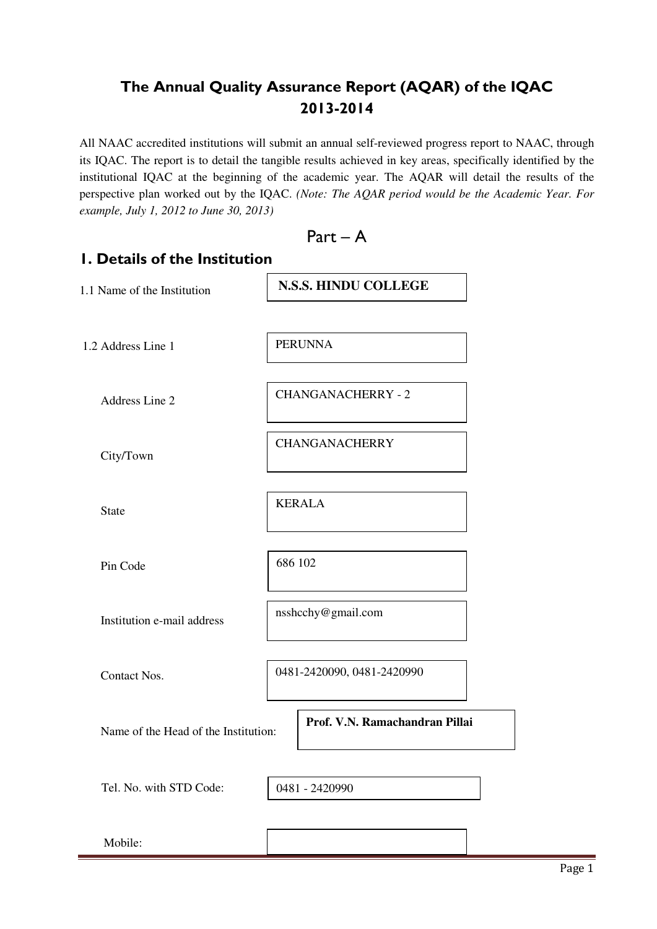# **The Annual Quality Assurance Report (AQAR) of the IQAC 2013-2014**

All NAAC accredited institutions will submit an annual self-reviewed progress report to NAAC, through its IQAC. The report is to detail the tangible results achieved in key areas, specifically identified by the institutional IQAC at the beginning of the academic year. The AQAR will detail the results of the perspective plan worked out by the IQAC. *(Note: The AQAR period would be the Academic Year. For example, July 1, 2012 to June 30, 2013)* 



# **1. Details of the Institution**  1.1 Name of the Institution 1.2 Address Line 1 Address Line 2 City/Town State Pin Code Institution e-mail address Contact Nos. Name of the Head of the Institution: Tel. No. with STD Code: Mobile: 0481-2420090, 0481-2420990 **N.S.S. HINDU COLLEGE**  PERUNNA CHANGANACHERRY - 2 CHANGANACHERRY KERALA 686 102 nsshcchy@gmail.com **Prof. V.N. Ramachandran Pillai**  0481 - 2420990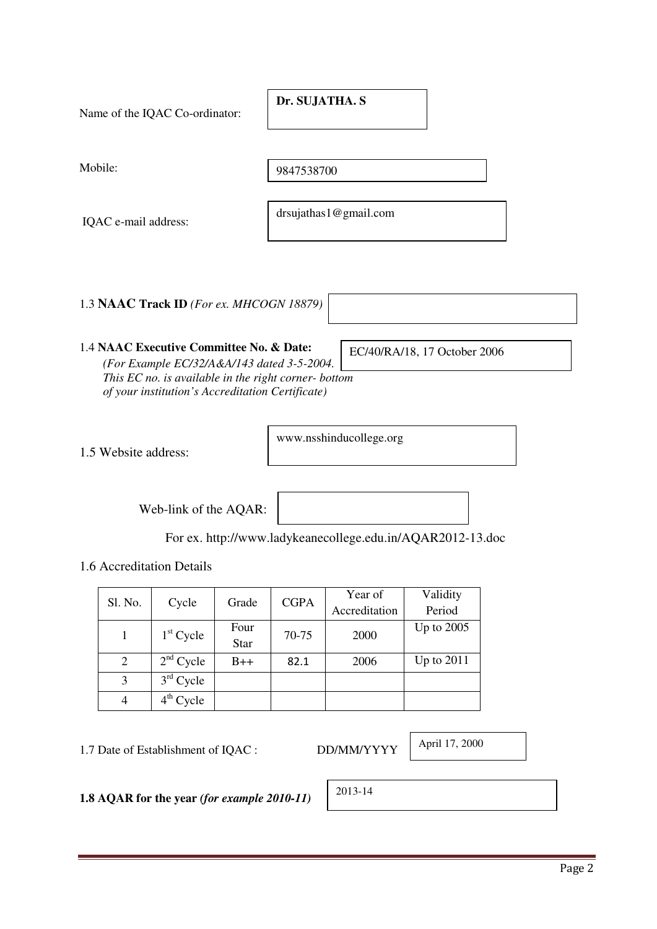Name of the IQAC Co-ordinator: Mobile: IQAC e-mail address: 1.3 **NAAC Track ID** *(For ex. MHCOGN 18879)* drsujathas1@gmail.com **Dr. SUJATHA. S**  9847538700

### 1.4 **NAAC Executive Committee No. & Date:**  *(For Example EC/32/A&A/143 dated 3-5-2004. This EC no. is available in the right corner- bottom of your institution's Accreditation Certificate)*

1.5 Website address:

www.nsshinducollege.org

EC/40/RA/18, 17 October 2006

Web-link of the AQAR:

For ex. http://www.ladykeanecollege.edu.in/AQAR2012-13.doc

1.6 Accreditation Details

|         |             |             | <b>CGPA</b> | Year of       | Validity     |
|---------|-------------|-------------|-------------|---------------|--------------|
| Sl. No. | Cycle       | Grade       |             | Accreditation | Period       |
|         |             | Four        | 70-75       |               | Up to $2005$ |
|         | $1st$ Cycle | <b>Star</b> |             | 2000          |              |
| 2       | $2nd$ Cycle | $B++$       | 82.1        | 2006          | Up to $2011$ |
| 3       | $3rd$ Cycle |             |             |               |              |
|         | $4th$ Cycle |             |             |               |              |

1.7 Date of Establishment of IQAC : DD/MM/YYYY

April 17, 2000

**1.8 AQAR for the year** *(for example 2010-11)*

2013-14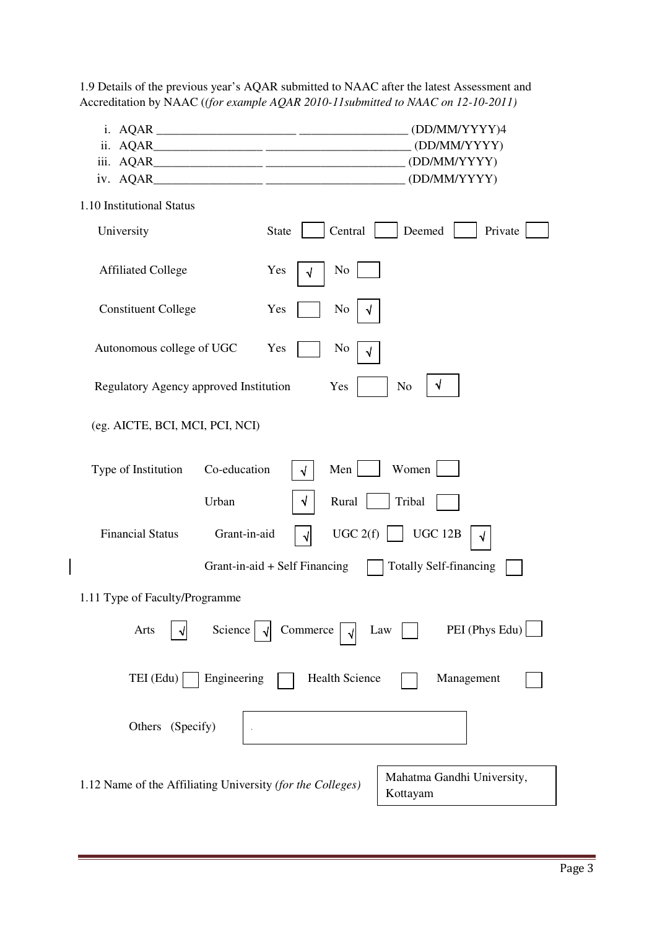| iv. AQAR_                                                  |                               | (DD/MM/YYYY)4<br>(DD/MM/YYYY)<br>(DD/MM/YYYY) |
|------------------------------------------------------------|-------------------------------|-----------------------------------------------|
| 1.10 Institutional Status                                  |                               |                                               |
| University                                                 | Central<br><b>State</b>       | Deemed<br>Private                             |
| <b>Affiliated College</b>                                  | No<br>Yes<br>√                |                                               |
| <b>Constituent College</b>                                 | Yes<br>No                     |                                               |
| Autonomous college of UGC                                  | Yes<br>No<br>√                |                                               |
| Regulatory Agency approved Institution                     | Yes                           | N <sub>o</sub>                                |
| (eg. AICTE, BCI, MCI, PCI, NCI)                            |                               |                                               |
| Co-education<br>Type of Institution                        | Men<br>$\sqrt{2}$             | Women                                         |
| Urban                                                      | Rural<br>√                    | Tribal                                        |
| Grant-in-aid<br><b>Financial Status</b>                    | UGC 2(f)<br>√∣                | <b>UGC 12B</b>                                |
|                                                            | Grant-in-aid + Self Financing | <b>Totally Self-financing</b>                 |
| 1.11 Type of Faculty/Programme                             |                               |                                               |
| Science<br>Arts                                            | Commerce                      | PEI (Phys Edu)<br>Law                         |
| Engineering<br>$TEI$ (Edu) $\vert$                         | <b>Health Science</b>         | Management                                    |
| Others (Specify)                                           |                               |                                               |
| 1.12 Name of the Affiliating University (for the Colleges) |                               | Mahatma Gandhi University,<br>Kottayam        |

 $\begin{array}{c} \hline \end{array}$ 

1.9 Details of the previous year's AQAR submitted to NAAC after the latest Assessment and Accreditation by NAAC (*(for example AQAR 2010-11submitted to NAAC on 12-10-2011)*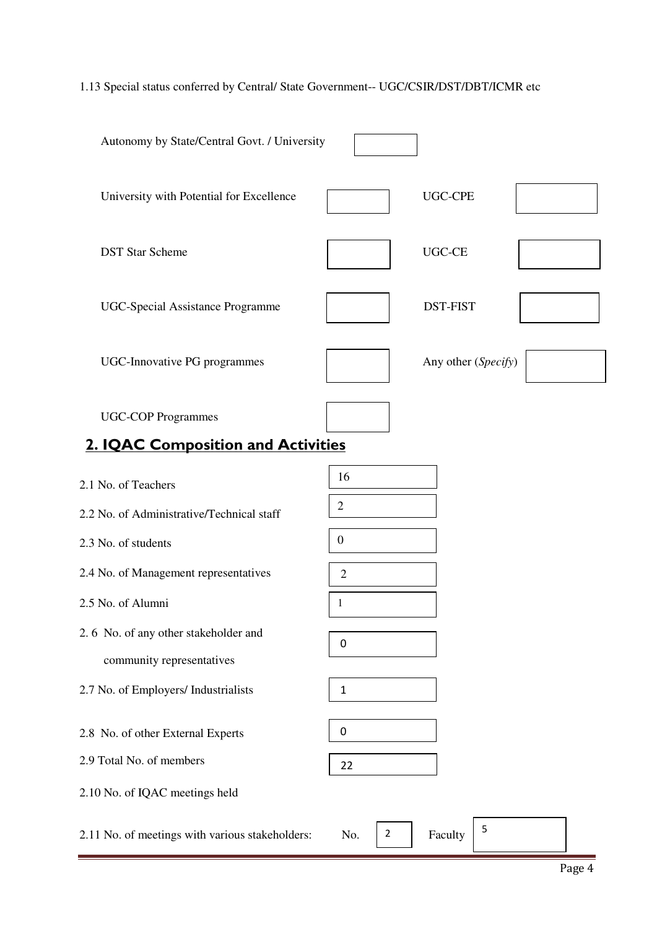# 1.13 Special status conferred by Central/ State Government-- UGC/CSIR/DST/DBT/ICMR etc

| Autonomy by State/Central Govt. / University                      |                       |                     |  |
|-------------------------------------------------------------------|-----------------------|---------------------|--|
| University with Potential for Excellence                          |                       | <b>UGC-CPE</b>      |  |
| <b>DST Star Scheme</b>                                            |                       | UGC-CE              |  |
| <b>UGC-Special Assistance Programme</b>                           |                       | <b>DST-FIST</b>     |  |
| <b>UGC-Innovative PG programmes</b>                               |                       | Any other (Specify) |  |
| <b>UGC-COP Programmes</b>                                         |                       |                     |  |
| 2. IQAC Composition and Activities                                |                       |                     |  |
| 2.1 No. of Teachers                                               | 16                    |                     |  |
| 2.2 No. of Administrative/Technical staff                         | $\overline{2}$        |                     |  |
| 2.3 No. of students                                               | $\boldsymbol{0}$      |                     |  |
| 2.4 No. of Management representatives                             | $\overline{c}$        |                     |  |
| 2.5 No. of Alumni                                                 | 1                     |                     |  |
| 2.6 No. of any other stakeholder and<br>community representatives | $\pmb{0}$             |                     |  |
| 2.7 No. of Employers/ Industrialists                              | $\mathbf{1}$          |                     |  |
| 2.8 No. of other External Experts                                 | $\pmb{0}$             |                     |  |
| 2.9 Total No. of members                                          | 22                    |                     |  |
| 2.10 No. of IQAC meetings held                                    |                       |                     |  |
| 2.11 No. of meetings with various stakeholders:                   | No.<br>$\overline{2}$ | 5<br>Faculty        |  |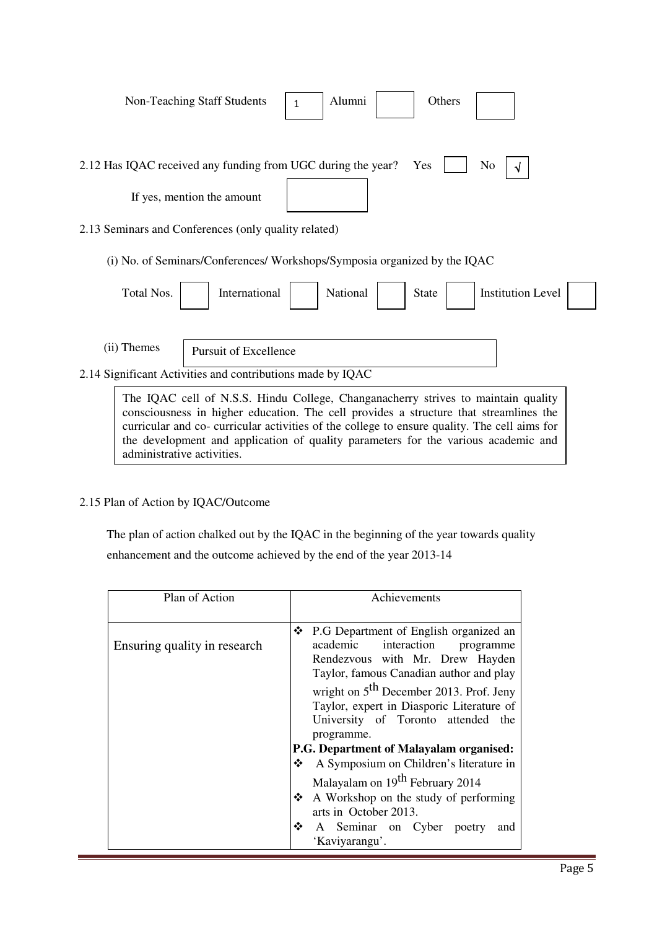|             | Non-Teaching Staff Students                                                                                                                                                                                                                                                | $\mathbf{1}$ | Alumni   | Others       |                          |  |
|-------------|----------------------------------------------------------------------------------------------------------------------------------------------------------------------------------------------------------------------------------------------------------------------------|--------------|----------|--------------|--------------------------|--|
|             | 2.12 Has IQAC received any funding from UGC during the year?                                                                                                                                                                                                               |              |          | Yes          | N <sub>o</sub>           |  |
|             | If yes, mention the amount                                                                                                                                                                                                                                                 |              |          |              |                          |  |
|             | 2.13 Seminars and Conferences (only quality related)                                                                                                                                                                                                                       |              |          |              |                          |  |
|             | (i) No. of Seminars/Conferences/ Workshops/Symposia organized by the IQAC                                                                                                                                                                                                  |              |          |              |                          |  |
| Total Nos.  | International                                                                                                                                                                                                                                                              |              | National | <b>State</b> | <b>Institution Level</b> |  |
|             |                                                                                                                                                                                                                                                                            |              |          |              |                          |  |
| (ii) Themes | <b>Pursuit of Excellence</b>                                                                                                                                                                                                                                               |              |          |              |                          |  |
|             | 2.14 Significant Activities and contributions made by IQAC                                                                                                                                                                                                                 |              |          |              |                          |  |
|             | The IQAC cell of N.S.S. Hindu College, Changanacherry strives to maintain quality<br>consciousness in higher education. The cell provides a structure that streamlines the<br>curricular and co- curricular activities of the college to ensure quality. The cell aims for |              |          |              |                          |  |

the development and application of quality parameters for the various academic and

### 2.15 Plan of Action by IQAC/Outcome

administrative activities.

 The plan of action chalked out by the IQAC in the beginning of the year towards quality enhancement and the outcome achieved by the end of the year 2013-14

| Plan of Action               | Achievements                                                                                                                                                                                                                                                                                                                                                                                                                                                                                                                                                                                     |  |  |  |  |  |
|------------------------------|--------------------------------------------------------------------------------------------------------------------------------------------------------------------------------------------------------------------------------------------------------------------------------------------------------------------------------------------------------------------------------------------------------------------------------------------------------------------------------------------------------------------------------------------------------------------------------------------------|--|--|--|--|--|
| Ensuring quality in research | P.G Department of English organized an<br>❖<br>academic<br>interaction programme<br>Rendezvous with Mr. Drew Hayden<br>Taylor, famous Canadian author and play<br>wright on $5th$ December 2013. Prof. Jeny<br>Taylor, expert in Diasporic Literature of<br>University of Toronto attended the<br>programme.<br><b>P.G. Department of Malayalam organised:</b><br>A Symposium on Children's literature in<br>豪心<br>Malayalam on 19 <sup>th</sup> February 2014<br>A Workshop on the study of performing<br>❖<br>arts in October 2013.<br>❖<br>A Seminar on Cyber poetry<br>and<br>'Kaviyarangu'. |  |  |  |  |  |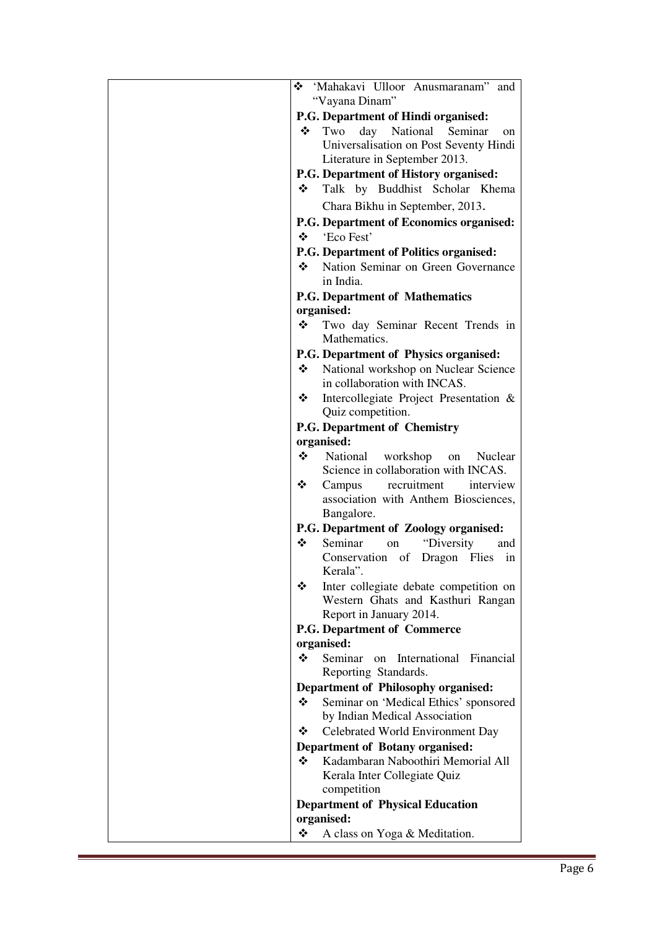| Mahakavi Ulloor Anusmaranam" and                           |
|------------------------------------------------------------|
| "Vayana Dinam"                                             |
| P.G. Department of Hindi organised:                        |
| Two<br>day<br>National<br>❖<br>Seminar<br>on               |
| Universalisation on Post Seventy Hindi                     |
| Literature in September 2013.                              |
| P.G. Department of History organised:                      |
| Talk by Buddhist Scholar Khema<br>❖                        |
| Chara Bikhu in September, 2013.                            |
| P.G. Department of Economics organised:                    |
| 'Eco Fest'<br>$\ddot{\bullet}$                             |
| P.G. Department of Politics organised:                     |
| • Nation Seminar on Green Governance                       |
| in India.                                                  |
| <b>P.G. Department of Mathematics</b>                      |
| organised:                                                 |
| ❖<br>Two day Seminar Recent Trends in<br>Mathematics.      |
| P.G. Department of Physics organised:                      |
| National workshop on Nuclear Science<br>❖                  |
| in collaboration with INCAS.                               |
| ❖<br>Intercollegiate Project Presentation &                |
| Quiz competition.                                          |
| <b>P.G. Department of Chemistry</b>                        |
| organised:                                                 |
| ❖<br>National<br>workshop<br>Nuclear<br>on                 |
| Science in collaboration with INCAS.                       |
| ❖<br>recruitment<br>Campus<br>interview                    |
| association with Anthem Biosciences,                       |
| Bangalore.                                                 |
| P.G. Department of Zoology organised:                      |
| ❖<br>Seminar<br>"Diversity<br>on<br>and<br>Conservation of |
| Dragon Flies<br>in<br>Kerala"                              |
| ❖<br>Inter collegiate debate competition on                |
| Western Ghats and Kasthuri Rangan                          |
| Report in January 2014.                                    |
| P.G. Department of Commerce                                |
| organised:                                                 |
| ❖<br>Seminar on International<br>Financial                 |
| Reporting Standards.                                       |
| Department of Philosophy organised:                        |
| Seminar on 'Medical Ethics' sponsored<br>❖                 |
| by Indian Medical Association                              |
| Celebrated World Environment Day<br>❖                      |
| <b>Department of Botany organised:</b>                     |
| Kadambaran Naboothiri Memorial All<br>❖                    |
| Kerala Inter Collegiate Quiz                               |
| competition                                                |
| <b>Department of Physical Education</b>                    |
| organised:                                                 |
| ❖<br>A class on Yoga & Meditation.                         |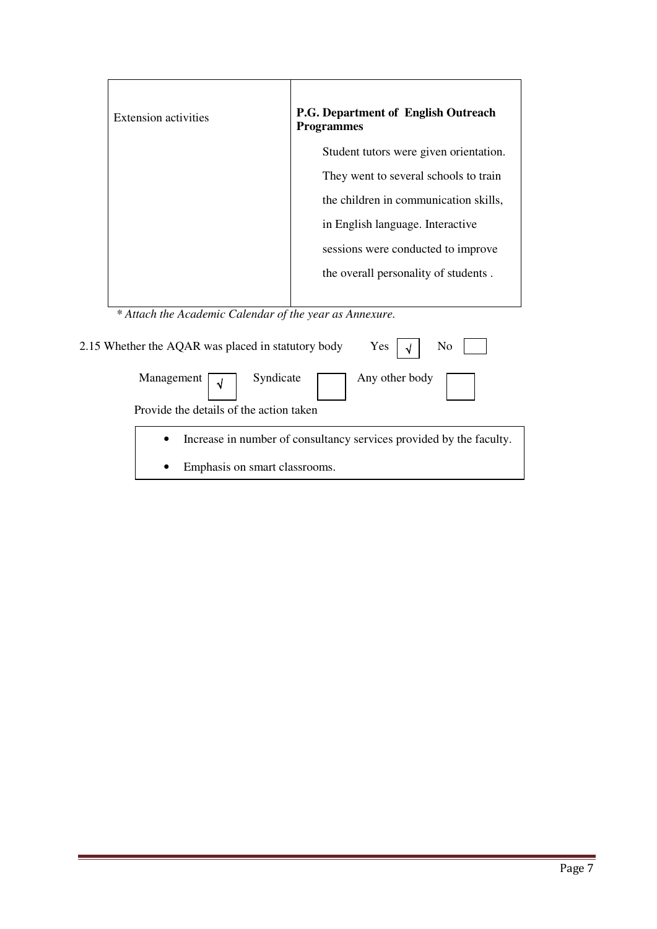| <b>Extension activities</b> | <b>P.G. Department of English Outreach</b><br><b>Programmes</b> |
|-----------------------------|-----------------------------------------------------------------|
|                             | Student tutors were given orientation.                          |
|                             | They went to several schools to train                           |
|                             | the children in communication skills,                           |
|                             | in English language. Interactive                                |
|                             | sessions were conducted to improve                              |
|                             | the overall personality of students.                            |
|                             |                                                                 |

| 2.15 Whether the AQAR was placed in statutory body | Yes $\vert \sqrt{ } \vert$<br>No                                      |
|----------------------------------------------------|-----------------------------------------------------------------------|
| Management $\sqrt{\sqrt{ }}$ Syndicate             | Any other body $\boxed{\phantom{a}}$                                  |
| Provide the details of the action taken            |                                                                       |
|                                                    | • Increase in number of consultancy services provided by the faculty. |
| Emphasis on smart classrooms.                      |                                                                       |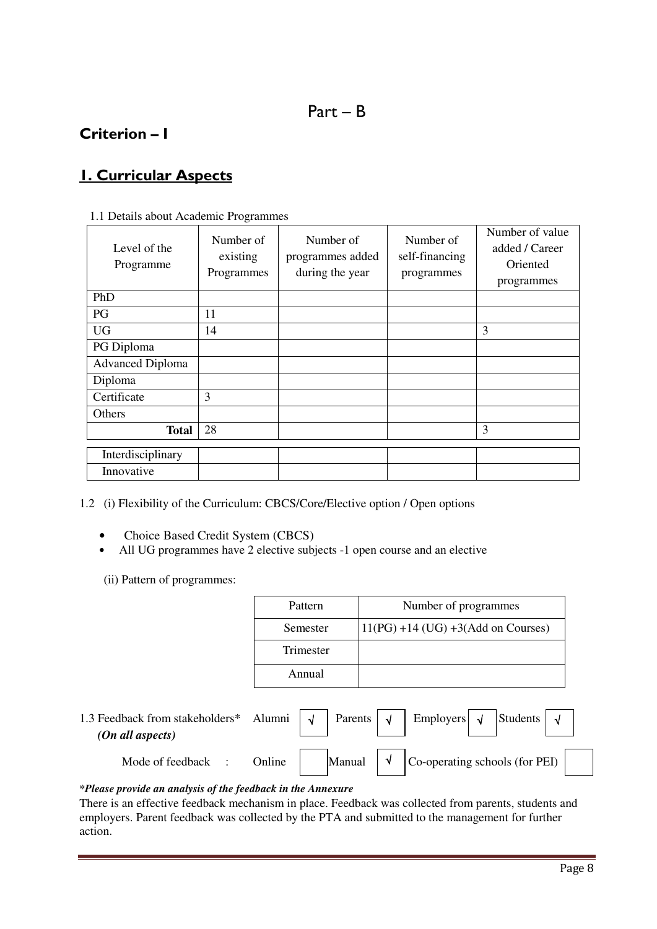# Part – B

## **Criterion – I**

# **1. Curricular Aspects**

| 1.1 Details about Academic Programmes |  |
|---------------------------------------|--|
|---------------------------------------|--|

| Level of the<br>Programme | Number of<br>existing<br>Programmes | Number of<br>programmes added<br>during the year | Number of<br>self-financing<br>programmes | Number of value<br>added / Career<br>Oriented<br>programmes |
|---------------------------|-------------------------------------|--------------------------------------------------|-------------------------------------------|-------------------------------------------------------------|
| PhD                       |                                     |                                                  |                                           |                                                             |
| PG                        | 11                                  |                                                  |                                           |                                                             |
| <b>UG</b>                 | 14                                  |                                                  |                                           | 3                                                           |
| PG Diploma                |                                     |                                                  |                                           |                                                             |
| <b>Advanced Diploma</b>   |                                     |                                                  |                                           |                                                             |
| Diploma                   |                                     |                                                  |                                           |                                                             |
| Certificate               | 3                                   |                                                  |                                           |                                                             |
| Others                    |                                     |                                                  |                                           |                                                             |
| <b>Total</b>              | 28                                  |                                                  |                                           | 3                                                           |
| Interdisciplinary         |                                     |                                                  |                                           |                                                             |
| Innovative                |                                     |                                                  |                                           |                                                             |

1.2 (i) Flexibility of the Curriculum: CBCS/Core/Elective option / Open options

- Choice Based Credit System (CBCS)
- All UG programmes have 2 elective subjects -1 open course and an elective

(ii) Pattern of programmes:

| Pattern   | Number of programmes                   |
|-----------|----------------------------------------|
| Semester  | $11(PG) + 14 (UG) + 3(Add on Courses)$ |
| Trimester |                                        |
| Annual    |                                        |

| 1.3 Feedback from stakeholders*<br>$(On \ all \ aspects)$ | Alumni $\vert \sqrt{ } \vert$ |  | Parents $\vert \sqrt{ } \vert$ Employers $\vert \sqrt{ } \vert$ Students $\vert \sqrt{ } \vert$        |  |  |
|-----------------------------------------------------------|-------------------------------|--|--------------------------------------------------------------------------------------------------------|--|--|
| Mode of feedback :                                        | Online                        |  | Manual $\begin{vmatrix} \sqrt{2} \\ \sqrt{2} \\ \sqrt{2} \end{vmatrix}$ Co-operating schools (for PEI) |  |  |

### *\*Please provide an analysis of the feedback in the Annexure*

There is an effective feedback mechanism in place. Feedback was collected from parents, students and employers. Parent feedback was collected by the PTA and submitted to the management for further action.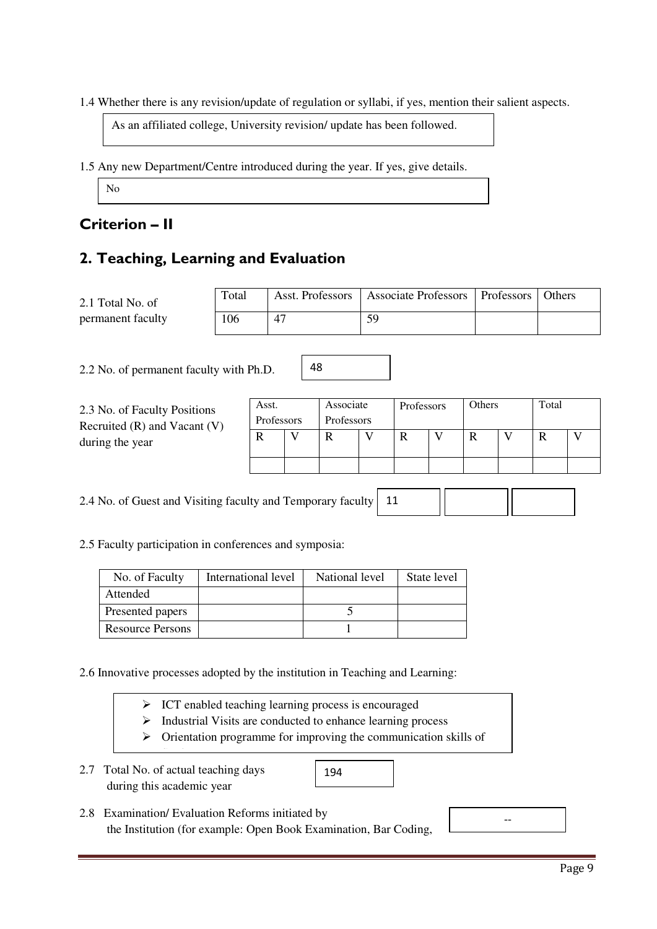1.4 Whether there is any revision/update of regulation or syllabi, if yes, mention their salient aspects.

As an affiliated college, University revision/ update has been followed.

1.5 Any new Department/Centre introduced during the year. If yes, give details.

No

### **Criterion – II**

### **2. Teaching, Learning and Evaluation**

| 2.1 Total No. of  | Total |    | Asst. Professors   Associate Professors   Professors   Others |  |
|-------------------|-------|----|---------------------------------------------------------------|--|
| permanent faculty | 106   | 47 | 59                                                            |  |

2.2 No. of permanent faculty with Ph.D.

| 2.3 No. of Faculty Positions<br>Recruited $(R)$ and Vacant $(V)$<br>during the year | Asst.<br>Professors |  | Associate<br>Professors | Professors |  | Others |  | Total |  |
|-------------------------------------------------------------------------------------|---------------------|--|-------------------------|------------|--|--------|--|-------|--|
|                                                                                     |                     |  |                         |            |  |        |  |       |  |
|                                                                                     |                     |  |                         |            |  |        |  |       |  |

48

2.4 No. of Guest and Visiting faculty and Temporary faculty 11

2.5 Faculty participation in conferences and symposia:

| No. of Faculty          | International level | National level | State level |
|-------------------------|---------------------|----------------|-------------|
| Attended                |                     |                |             |
| Presented papers        |                     |                |             |
| <b>Resource Persons</b> |                     |                |             |

2.6 Innovative processes adopted by the institution in Teaching and Learning:

| $\triangleright$ ICT enabled teaching learning process is encouraged |  |
|----------------------------------------------------------------------|--|
|                                                                      |  |

- > Industrial Visits are conducted to enhance learning process
- > Orientation programme for improving the communication skills of

194

2.7 Total No. of actual teaching days during this academic year

Students<br>Students

| 2.8 Examination/Evaluation Reforms initiated by                  |
|------------------------------------------------------------------|
| the Institution (for example: Open Book Examination, Bar Coding, |

--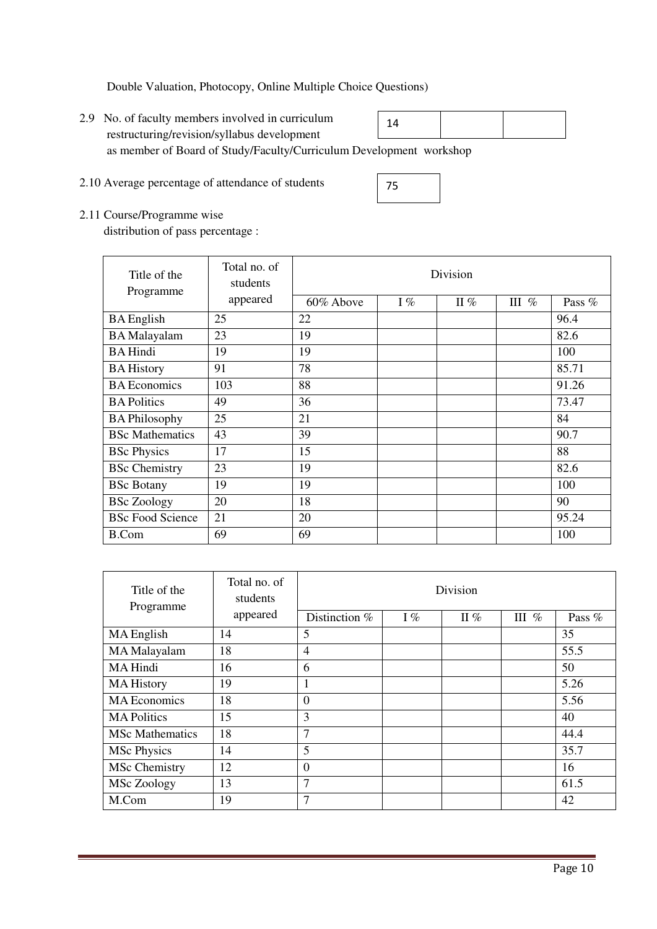Double Valuation, Photocopy, Online Multiple Choice Questions)

- 2.9 No. of faculty members involved in curriculum restructuring/revision/syllabus development as member of Board of Study/Faculty/Curriculum Development workshop 14
- 2.10 Average percentage of attendance of students

| 2.11 Course/Programme wise |  |
|----------------------------|--|

distribution of pass percentage :

| Title of the<br>Programme | Total no. of<br>students | Division  |       |        |         |        |  |
|---------------------------|--------------------------|-----------|-------|--------|---------|--------|--|
|                           | appeared                 | 60% Above | $I\%$ | II $%$ | III $%$ | Pass % |  |
| <b>BA</b> English         | 25                       | 22        |       |        |         | 96.4   |  |
| <b>BA</b> Malayalam       | 23                       | 19        |       |        |         | 82.6   |  |
| <b>BA Hindi</b>           | 19                       | 19        |       |        |         | 100    |  |
| <b>BA History</b>         | 91                       | 78        |       |        |         | 85.71  |  |
| <b>BA</b> Economics       | 103                      | 88        |       |        |         | 91.26  |  |
| <b>BA Politics</b>        | 49                       | 36        |       |        |         | 73.47  |  |
| <b>BA Philosophy</b>      | 25                       | 21        |       |        |         | 84     |  |
| <b>BSc Mathematics</b>    | 43                       | 39        |       |        |         | 90.7   |  |
| <b>BSc Physics</b>        | 17                       | 15        |       |        |         | 88     |  |
| <b>BSc</b> Chemistry      | 23                       | 19        |       |        |         | 82.6   |  |
| <b>BSc Botany</b>         | 19                       | 19        |       |        |         | 100    |  |
| <b>BSc Zoology</b>        | 20                       | 18        |       |        |         | 90     |  |
| <b>BSc Food Science</b>   | 21                       | 20        |       |        |         | 95.24  |  |
| <b>B.Com</b>              | 69                       | 69        |       |        |         | 100    |  |

75

| Title of the<br>Programme | Total no. of<br>students | Division       |    |        |         |        |  |
|---------------------------|--------------------------|----------------|----|--------|---------|--------|--|
|                           | appeared                 | Distinction %  | I% | II $%$ | III $%$ | Pass % |  |
| MA English                | 14                       | 5              |    |        |         | 35     |  |
| MA Malayalam              | 18                       | $\overline{4}$ |    |        |         | 55.5   |  |
| <b>MA</b> Hindi           | 16                       | 6              |    |        |         | 50     |  |
| <b>MA History</b>         | 19                       |                |    |        |         | 5.26   |  |
| <b>MA</b> Economics       | 18                       | $\overline{0}$ |    |        |         | 5.56   |  |
| <b>MA Politics</b>        | 15                       | 3              |    |        |         | 40     |  |
| <b>MSc Mathematics</b>    | 18                       | 7              |    |        |         | 44.4   |  |
| <b>MSc Physics</b>        | 14                       | 5              |    |        |         | 35.7   |  |
| <b>MSc Chemistry</b>      | 12                       | $\overline{0}$ |    |        |         | 16     |  |
| <b>MSc Zoology</b>        | 13                       | $\overline{7}$ |    |        |         | 61.5   |  |
| M.Com                     | 19                       | 7              |    |        |         | 42     |  |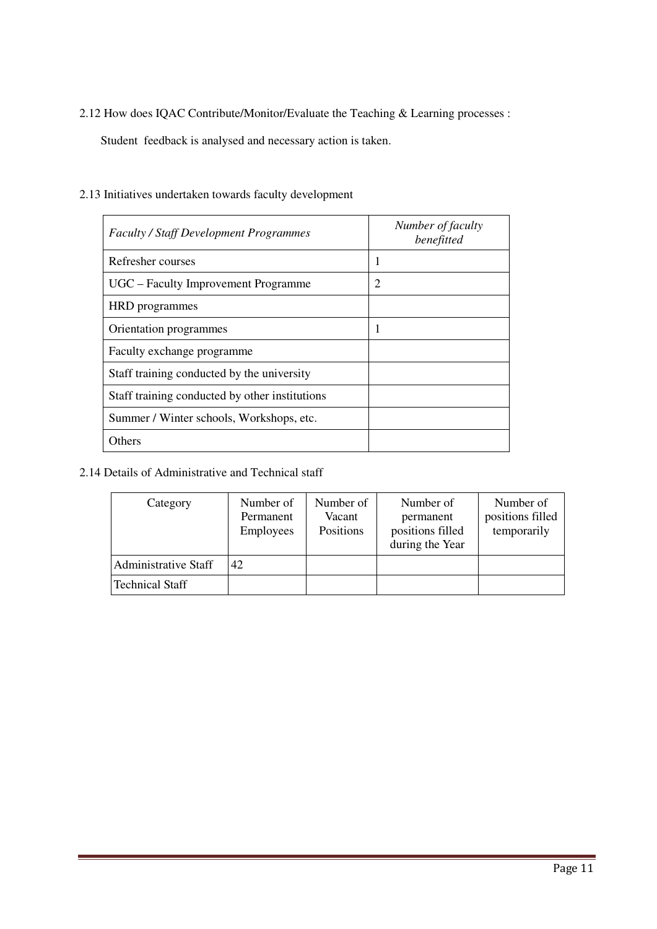2.12 How does IQAC Contribute/Monitor/Evaluate the Teaching & Learning processes :

Student feedback is analysed and necessary action is taken.

| <b>Faculty / Staff Development Programmes</b>  | Number of faculty<br>benefitted |
|------------------------------------------------|---------------------------------|
| Refresher courses                              |                                 |
| UGC – Faculty Improvement Programme            | $\overline{2}$                  |
| HRD programmes                                 |                                 |
| Orientation programmes                         | 1                               |
| Faculty exchange programme                     |                                 |
| Staff training conducted by the university     |                                 |
| Staff training conducted by other institutions |                                 |
| Summer / Winter schools, Workshops, etc.       |                                 |
| <b>Others</b>                                  |                                 |

2.13 Initiatives undertaken towards faculty development

### 2.14 Details of Administrative and Technical staff

| Category                    | Number of<br>Permanent<br><b>Employees</b> | Number of<br>Vacant<br>Positions | Number of<br>permanent<br>positions filled<br>during the Year | Number of<br>positions filled<br>temporarily |
|-----------------------------|--------------------------------------------|----------------------------------|---------------------------------------------------------------|----------------------------------------------|
| <b>Administrative Staff</b> | 42                                         |                                  |                                                               |                                              |
| <b>Technical Staff</b>      |                                            |                                  |                                                               |                                              |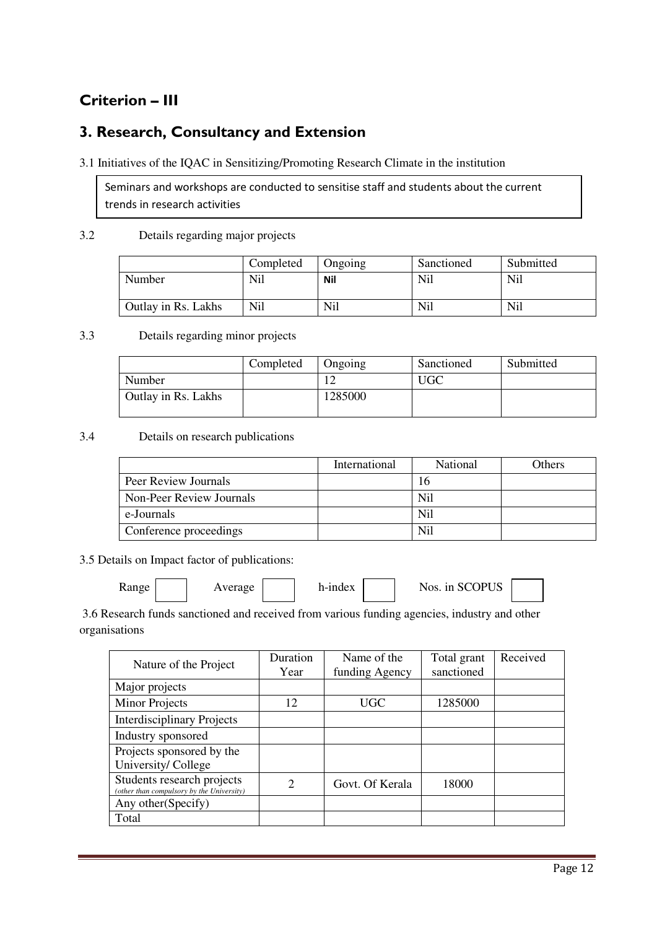# **Criterion – III**

### **3. Research, Consultancy and Extension**

### 3.1 Initiatives of the IQAC in Sensitizing/Promoting Research Climate in the institution

Seminars and workshops are conducted to sensitise staff and students about the current trends in research activities

### 3.2 Details regarding major projects

|                     | Completed      | Ongoing | Sanctioned | Submitted  |
|---------------------|----------------|---------|------------|------------|
| Number              | Nil            | Nil     | Nil        | Nil        |
| Outlay in Rs. Lakhs | N <sub>i</sub> | Nil     | Nil        | <b>Nil</b> |

### 3.3 Details regarding minor projects

|                            | Completed | <b>Ongoing</b> | Sanctioned | Submitted |
|----------------------------|-----------|----------------|------------|-----------|
| Number                     |           |                | JGC        |           |
| <b>Outlay in Rs. Lakhs</b> |           | 1285000        |            |           |

### 3.4 Details on research publications

|                          | International | National       | <b>Others</b> |
|--------------------------|---------------|----------------|---------------|
| Peer Review Journals     |               | 16             |               |
| Non-Peer Review Journals |               | Nil            |               |
| e-Journals               |               | Nil            |               |
| Conference proceedings   |               | N <sub>i</sub> |               |

3.5 Details on Impact factor of publications:

| <b>Range</b> |  | Average |  | h-index |  | Nos. in SCOPUS |
|--------------|--|---------|--|---------|--|----------------|
|--------------|--|---------|--|---------|--|----------------|

 3.6 Research funds sanctioned and received from various funding agencies, industry and other organisations

| Nature of the Project                                                   | Duration | Name of the     | Total grant | Received |
|-------------------------------------------------------------------------|----------|-----------------|-------------|----------|
|                                                                         | Year     | funding Agency  | sanctioned  |          |
| Major projects                                                          |          |                 |             |          |
| <b>Minor Projects</b>                                                   | 12       | UGC             | 1285000     |          |
| <b>Interdisciplinary Projects</b>                                       |          |                 |             |          |
| Industry sponsored                                                      |          |                 |             |          |
| Projects sponsored by the                                               |          |                 |             |          |
| University/College                                                      |          |                 |             |          |
| Students research projects<br>(other than compulsory by the University) | 2        | Govt. Of Kerala | 18000       |          |
| Any other (Specify)                                                     |          |                 |             |          |
| Total                                                                   |          |                 |             |          |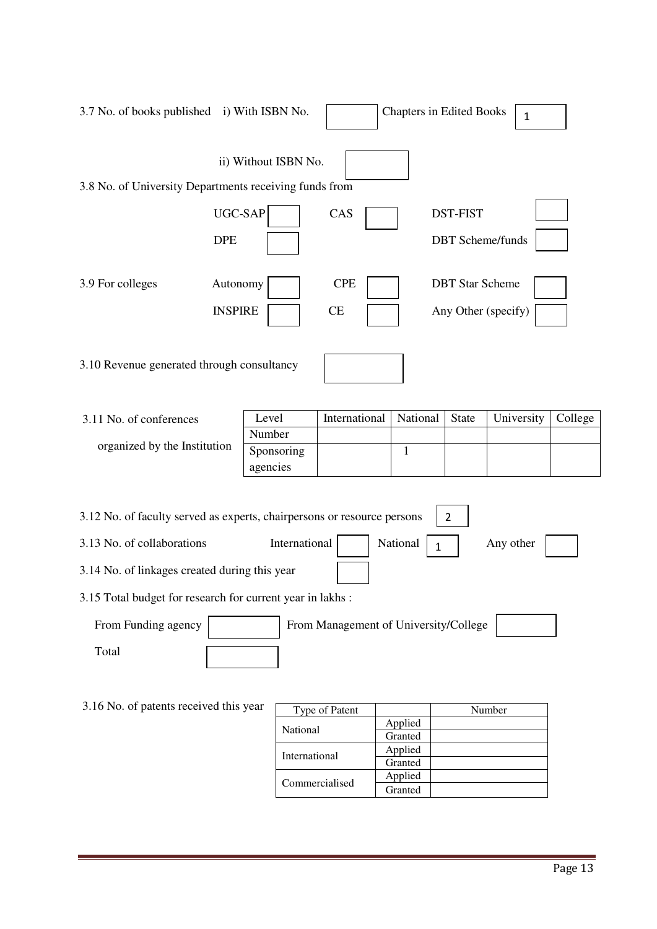| 3.7 No. of books published i) With ISBN No.                                                                                                                                                                         |                        |                                       | <b>Chapters in Edited Books</b> |                                               | $\mathbf{1}$ |         |
|---------------------------------------------------------------------------------------------------------------------------------------------------------------------------------------------------------------------|------------------------|---------------------------------------|---------------------------------|-----------------------------------------------|--------------|---------|
| 3.8 No. of University Departments receiving funds from                                                                                                                                                              | ii) Without ISBN No.   |                                       |                                 |                                               |              |         |
| UGC-SAP<br><b>DPE</b>                                                                                                                                                                                               |                        | CAS                                   |                                 | <b>DST-FIST</b><br><b>DBT</b> Scheme/funds    |              |         |
| 3.9 For colleges<br>Autonomy<br><b>INSPIRE</b>                                                                                                                                                                      |                        | <b>CPE</b><br>CE                      |                                 | <b>DBT</b> Star Scheme<br>Any Other (specify) |              |         |
| 3.10 Revenue generated through consultancy                                                                                                                                                                          |                        |                                       |                                 |                                               |              |         |
| 3.11 No. of conferences                                                                                                                                                                                             | Level                  | International                         | National                        | <b>State</b>                                  | University   | College |
|                                                                                                                                                                                                                     | Number                 |                                       |                                 |                                               |              |         |
| organized by the Institution                                                                                                                                                                                        | Sponsoring<br>agencies |                                       | $\mathbf{1}$                    |                                               |              |         |
| 3.12 No. of faculty served as experts, chairpersons or resource persons<br>3.13 No. of collaborations<br>3.14 No. of linkages created during this year<br>3.15 Total budget for research for current year in lakhs: | International          |                                       | National<br>1                   | $\overline{2}$                                | Any other    |         |
|                                                                                                                                                                                                                     |                        |                                       |                                 |                                               |              |         |
| From Funding agency                                                                                                                                                                                                 |                        | From Management of University/College |                                 |                                               |              |         |
| Total                                                                                                                                                                                                               |                        |                                       |                                 |                                               |              |         |
| 3.16 No. of patents received this year                                                                                                                                                                              |                        | Type of Patent                        |                                 |                                               | Number       |         |
|                                                                                                                                                                                                                     |                        |                                       | Applied                         |                                               |              |         |

| ear            | Type of Patent  |         | Number |
|----------------|-----------------|---------|--------|
|                | <b>National</b> | Applied |        |
|                |                 | Granted |        |
|                | International   | Applied |        |
|                | Granted         |         |        |
|                |                 | Applied |        |
| Commercialised |                 | Granted |        |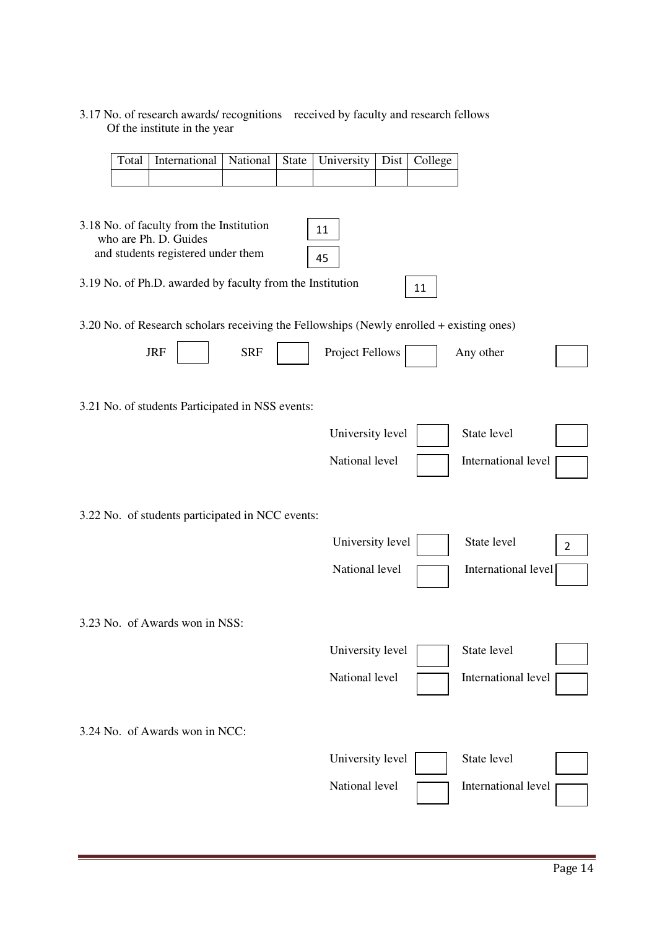### 3.17 No. of research awards/ recognitions received by faculty and research fellows Of the institute in the year

| Total | International                                                                            | National   | State | University       | Dist | College |                     |                |
|-------|------------------------------------------------------------------------------------------|------------|-------|------------------|------|---------|---------------------|----------------|
|       |                                                                                          |            |       |                  |      |         |                     |                |
|       |                                                                                          |            |       |                  |      |         |                     |                |
|       | 3.18 No. of faculty from the Institution<br>who are Ph. D. Guides                        |            |       | 11               |      |         |                     |                |
|       | and students registered under them                                                       |            |       | 45               |      |         |                     |                |
|       | 3.19 No. of Ph.D. awarded by faculty from the Institution                                |            |       |                  |      | 11      |                     |                |
|       | 3.20 No. of Research scholars receiving the Fellowships (Newly enrolled + existing ones) |            |       |                  |      |         |                     |                |
|       | <b>JRF</b>                                                                               | <b>SRF</b> |       | Project Fellows  |      |         | Any other           |                |
|       | 3.21 No. of students Participated in NSS events:                                         |            |       |                  |      |         |                     |                |
|       |                                                                                          |            |       | University level |      |         | State level         |                |
|       |                                                                                          |            |       | National level   |      |         | International level |                |
|       | 3.22 No. of students participated in NCC events:                                         |            |       |                  |      |         |                     |                |
|       |                                                                                          |            |       | University level |      |         | State level         | $\overline{2}$ |
|       |                                                                                          |            |       | National level   |      |         | International level |                |
|       | 3.23 No. of Awards won in NSS:                                                           |            |       |                  |      |         |                     |                |
|       |                                                                                          |            |       | University level |      |         | State level         |                |
|       |                                                                                          |            |       | National level   |      |         | International level |                |
|       | 3.24 No. of Awards won in NCC:                                                           |            |       |                  |      |         |                     |                |
|       |                                                                                          |            |       | University level |      |         | State level         |                |
|       |                                                                                          |            |       | National level   |      |         | International level |                |
|       |                                                                                          |            |       |                  |      |         |                     |                |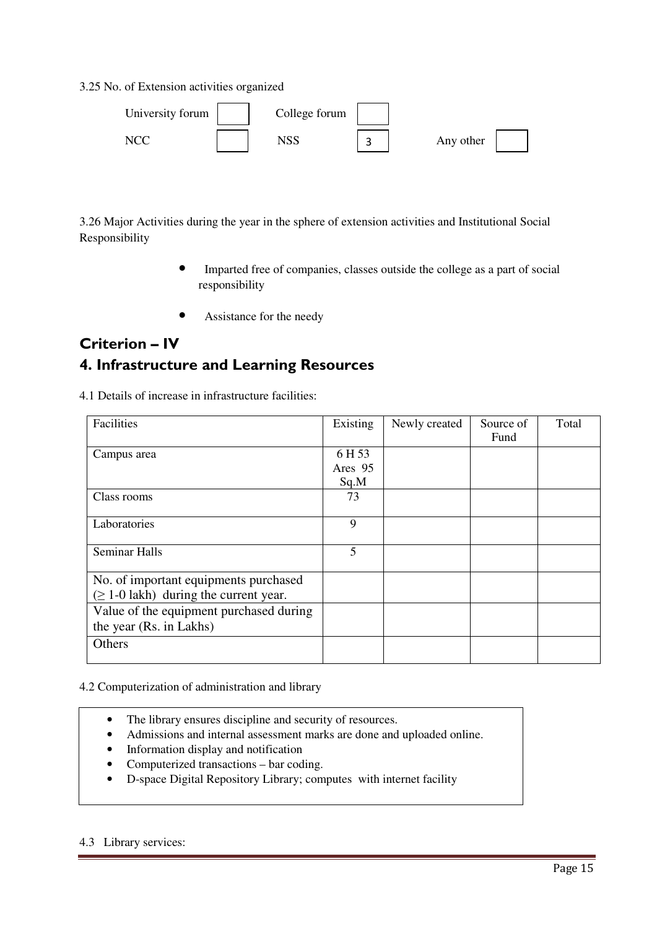3.25 No. of Extension activities organized

| University forum | College forum |         |           |
|------------------|---------------|---------|-----------|
| NC.              | פכורו         | ◠<br>سه | Any other |

3.26 Major Activities during the year in the sphere of extension activities and Institutional Social Responsibility

- Imparted free of companies, classes outside the college as a part of social responsibility
- Assistance for the needy

### **Criterion – IV 4. Infrastructure and Learning Resources**

4.1 Details of increase in infrastructure facilities:

| Facilities                                  | Existing | Newly created | Source of | Total |
|---------------------------------------------|----------|---------------|-----------|-------|
|                                             |          |               | Fund      |       |
| Campus area                                 | 6 H 53   |               |           |       |
|                                             | Ares 95  |               |           |       |
|                                             | Sq.M     |               |           |       |
| Class rooms                                 | 73       |               |           |       |
|                                             |          |               |           |       |
| Laboratories                                | 9        |               |           |       |
|                                             |          |               |           |       |
| <b>Seminar Halls</b>                        | 5        |               |           |       |
|                                             |          |               |           |       |
| No. of important equipments purchased       |          |               |           |       |
| $(\geq 1$ -0 lakh) during the current year. |          |               |           |       |
| Value of the equipment purchased during     |          |               |           |       |
| the year (Rs. in Lakhs)                     |          |               |           |       |
| Others                                      |          |               |           |       |
|                                             |          |               |           |       |

### 4.2 Computerization of administration and library

- The library ensures discipline and security of resources.
- Admissions and internal assessment marks are done and uploaded online.
- Information display and notification
- Computerized transactions bar coding.
- D-space Digital Repository Library; computes with internet facility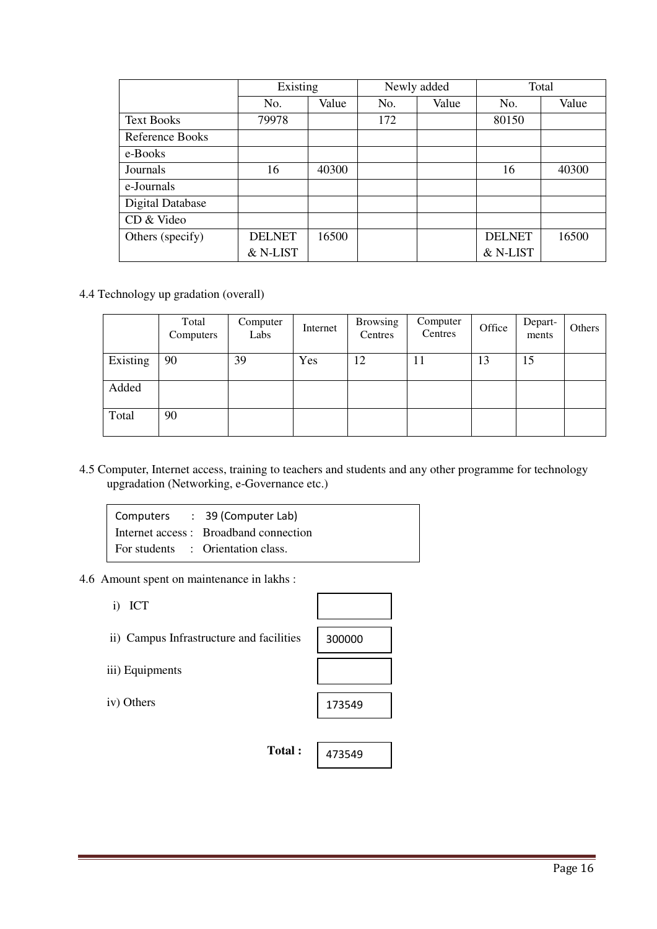|                   | Existing      |       |     | Newly added | Total         |       |
|-------------------|---------------|-------|-----|-------------|---------------|-------|
|                   | No.           | Value | No. | Value       | No.           | Value |
| <b>Text Books</b> | 79978         |       | 172 |             | 80150         |       |
| Reference Books   |               |       |     |             |               |       |
| e-Books           |               |       |     |             |               |       |
| Journals          | 16            | 40300 |     |             | 16            | 40300 |
| e-Journals        |               |       |     |             |               |       |
| Digital Database  |               |       |     |             |               |       |
| CD & Video        |               |       |     |             |               |       |
| Others (specify)  | <b>DELNET</b> | 16500 |     |             | <b>DELNET</b> | 16500 |
|                   | & N-LIST      |       |     |             | & N-LIST      |       |

4.4 Technology up gradation (overall)

|          | Total<br>Computers | Computer<br>Labs | Internet | <b>Browsing</b><br>Centres | Computer<br>Centres | Office | Depart-<br>ments | Others |
|----------|--------------------|------------------|----------|----------------------------|---------------------|--------|------------------|--------|
| Existing | 90                 | 39               | Yes      | 12                         | 11                  | 13     | 15               |        |
| Added    |                    |                  |          |                            |                     |        |                  |        |
| Total    | 90                 |                  |          |                            |                     |        |                  |        |

4.5 Computer, Internet access, training to teachers and students and any other programme for technology upgradation (Networking, e-Governance etc.)

| Computers : 39 (Computer Lab)         |
|---------------------------------------|
| Internet access: Broadband connection |
| For students : Orientation class.     |

- 4.6 Amount spent on maintenance in lakhs :
	- i) ICT
	- ii) Campus Infrastructure and facilities
	- iii) Equipments
	- iv) Others

| 300000 |  |
|--------|--|
|        |  |
| 173549 |  |
|        |  |

473549

**Total :** 

Page 16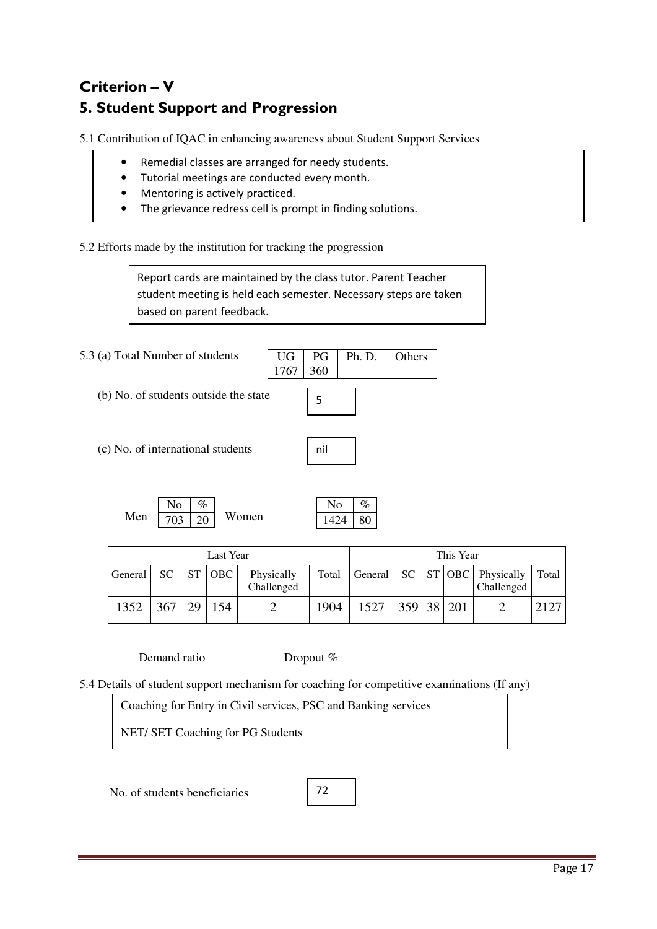# **Criterion – V 5. Student Support and Progression**

5.1 Contribution of IQAC in enhancing awareness about Student Support Services

- Remedial classes are arranged for needy students.
- Tutorial meetings are conducted every month.
- Mentoring is actively practiced.
- The grievance redress cell is prompt in finding solutions.

5.2 Efforts made by the institution for tracking the progression

Report cards are maintained by the class tutor. Parent Teacher student meeting is held each semester. Necessary steps are taken based on parent feedback.

5.3 (a) Total Number of students

(b) No. of students outside the state



nil

UG PG Ph. D. Others

(c) No. of international students

|     |     | $\%$  |       |
|-----|-----|-------|-------|
| Men | 703 | $-20$ | Women |

| √ο   | %  |
|------|----|
| 1424 | 80 |

|         |     |           | Last Year |                          |       |         |            | This Year |                                                                    |       |
|---------|-----|-----------|-----------|--------------------------|-------|---------|------------|-----------|--------------------------------------------------------------------|-------|
| General | SC. | <b>ST</b> | OBC       | Physically<br>Challenged | Total | General |            |           | $\vert$ SC $\vert$ ST $\vert$ OBC $\vert$ Physically<br>Challenged | Total |
| 1352    | 367 | 29        | 154       |                          | 1904  | 1527    | 359 38 201 |           |                                                                    | 2127  |

Demand ratio Dropout %

5.4 Details of student support mechanism for coaching for competitive examinations (If any)

Coaching for Entry in Civil services, PSC and Banking services

NET/ SET Coaching for PG Students

No. of students beneficiaries

72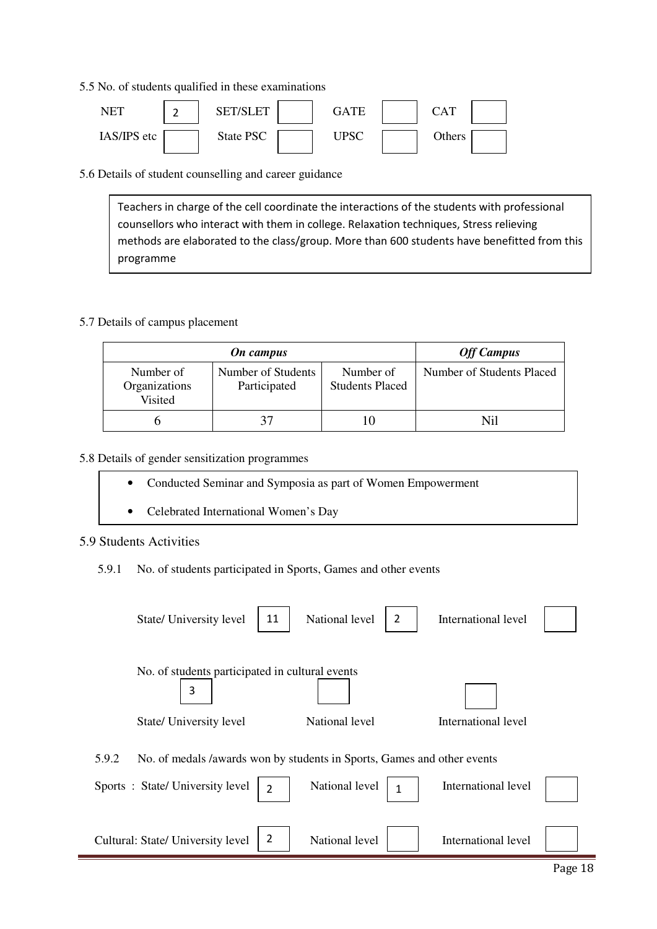5.5 No. of students qualified in these examinations



5.6 Details of student counselling and career guidance

Teachers in charge of the cell coordinate the interactions of the students with professional counsellors who interact with them in college. Relaxation techniques, Stress relieving methods are elaborated to the class/group. More than 600 students have benefitted from this programme

### 5.7 Details of campus placement

| On campus                             |                                    |                                     | <b>Off Campus</b>         |
|---------------------------------------|------------------------------------|-------------------------------------|---------------------------|
| Number of<br>Organizations<br>Visited | Number of Students<br>Participated | Number of<br><b>Students Placed</b> | Number of Students Placed |
|                                       | 37                                 |                                     | Nil                       |

### 5.8 Details of gender sensitization programmes

- Conducted Seminar and Symposia as part of Women Empowerment
- Celebrated International Women's Day

### 5.9 Students Activities

5.9.1 No. of students participated in Sports, Games and other events

| 11<br>State/ University level                                                    | National level<br>2 | International level |
|----------------------------------------------------------------------------------|---------------------|---------------------|
| No. of students participated in cultural events<br>3                             |                     |                     |
| State/ University level                                                          | National level      | International level |
| No. of medals /awards won by students in Sports, Games and other events<br>5.9.2 |                     |                     |
| Sports: State/University level<br>$\overline{2}$                                 | National level      | International level |
| 2<br>Cultural: State/ University level                                           | National level      | International level |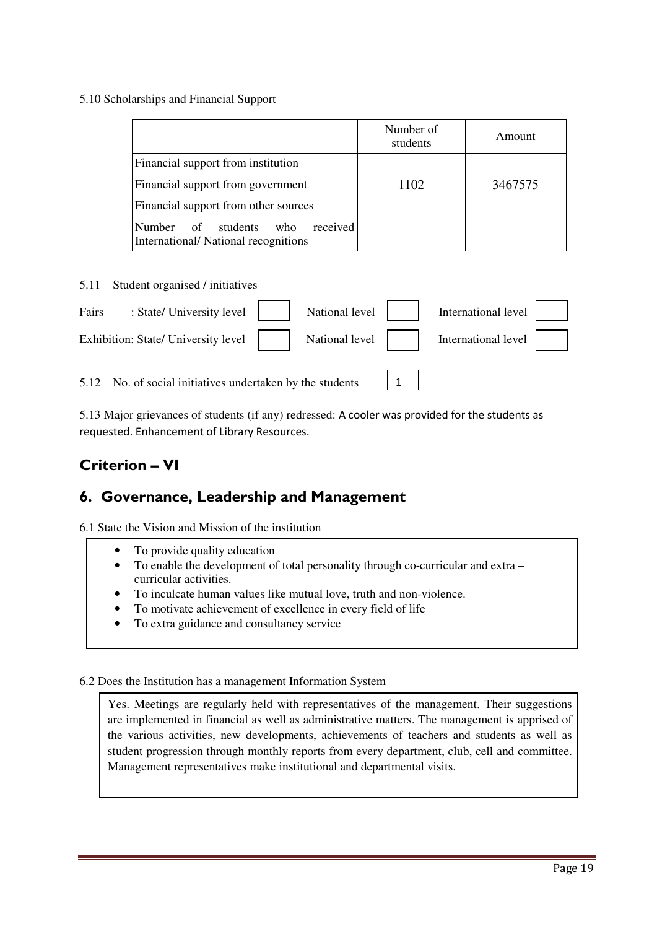### 5.10 Scholarships and Financial Support

|                                                                                          | Number of<br>students | Amount  |
|------------------------------------------------------------------------------------------|-----------------------|---------|
| Financial support from institution                                                       |                       |         |
| Financial support from government                                                        | 1102                  | 3467575 |
| Financial support from other sources                                                     |                       |         |
| received<br>Number<br>$\sigma$<br>students<br>who<br>International/National recognitions |                       |         |

5.11 Student organised / initiatives

| Fairs | : State/ University level     National level     International level           |  |  |  |
|-------|--------------------------------------------------------------------------------|--|--|--|
|       | Exhibition: State/ University level     National level     International level |  |  |  |
|       |                                                                                |  |  |  |

1

5.12 No. of social initiatives undertaken by the students

5.13 Major grievances of students (if any) redressed: A cooler was provided for the students as requested. Enhancement of Library Resources.

### **Criterion – VI**

### **6. Governance, Leadership and Management**

6.1 State the Vision and Mission of the institution

- To provide quality education
- To enable the development of total personality through co-curricular and extra curricular activities.
- To inculcate human values like mutual love, truth and non-violence.
- To motivate achievement of excellence in every field of life
- To extra guidance and consultancy service

### 6.2 Does the Institution has a management Information System

Yes. Meetings are regularly held with representatives of the management. Their suggestions are implemented in financial as well as administrative matters. The management is apprised of the various activities, new developments, achievements of teachers and students as well as student progression through monthly reports from every department, club, cell and committee. Management representatives make institutional and departmental visits.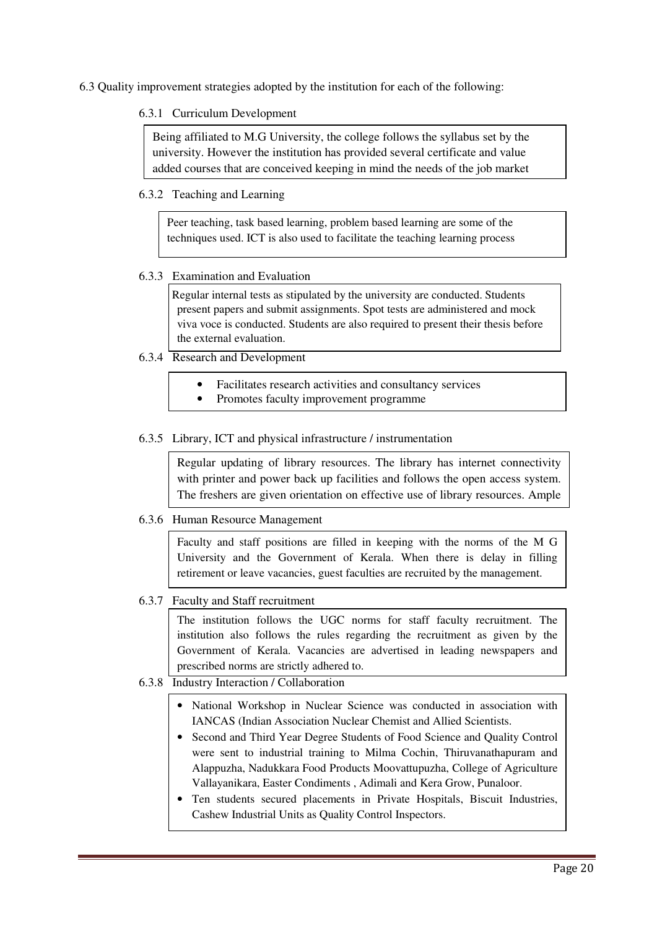6.3 Quality improvement strategies adopted by the institution for each of the following:

### 6.3.1 Curriculum Development

Being affiliated to M.G University, the college follows the syllabus set by the university. However the institution has provided several certificate and value added courses that are conceived keeping in mind the needs of the job market

### 6.3.2 Teaching and Learning

Peer teaching, task based learning, problem based learning are some of the techniques used. ICT is also used to facilitate the teaching learning process

### 6.3.3 Examination and Evaluation

Regular internal tests as stipulated by the university are conducted. Students present papers and submit assignments. Spot tests are administered and mock viva voce is conducted. Students are also required to present their thesis before the external evaluation.

### 6.3.4 Research and Development

- Facilitates research activities and consultancy services
- Promotes faculty improvement programme

### 6.3.5 Library, ICT and physical infrastructure / instrumentation

Regular updating of library resources. The library has internet connectivity with printer and power back up facilities and follows the open access system. The freshers are given orientation on effective use of library resources. Ample

### 6.3.6 Human Resource Management

Faculty and staff positions are filled in keeping with the norms of the M G University and the Government of Kerala. When there is delay in filling retirement or leave vacancies, guest faculties are recruited by the management.

### 6.3.7 Faculty and Staff recruitment

The institution follows the UGC norms for staff faculty recruitment. The institution also follows the rules regarding the recruitment as given by the Government of Kerala. Vacancies are advertised in leading newspapers and prescribed norms are strictly adhered to.

### 6.3.8 Industry Interaction / Collaboration

- National Workshop in Nuclear Science was conducted in association with IANCAS (Indian Association Nuclear Chemist and Allied Scientists.
- Second and Third Year Degree Students of Food Science and Quality Control were sent to industrial training to Milma Cochin, Thiruvanathapuram and Alappuzha, Nadukkara Food Products Moovattupuzha, College of Agriculture Vallayanikara, Easter Condiments , Adimali and Kera Grow, Punaloor.
- Ten students secured placements in Private Hospitals, Biscuit Industries, Cashew Industrial Units as Quality Control Inspectors.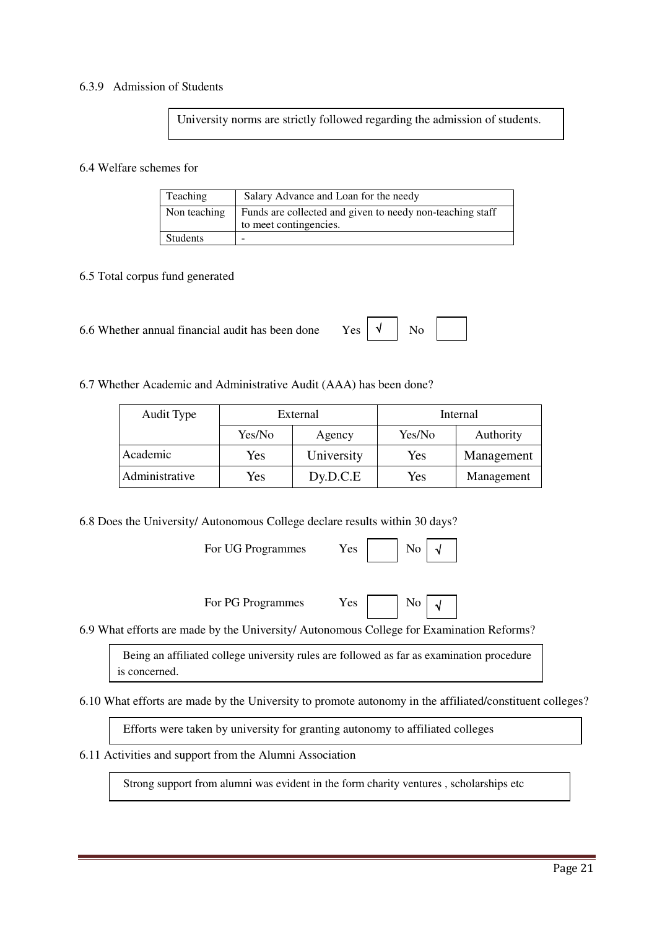### 6.3.9 Admission of Students

University norms are strictly followed regarding the admission of students.

#### 6.4 Welfare schemes for

| Teaching     | Salary Advance and Loan for the needy                                               |
|--------------|-------------------------------------------------------------------------------------|
| Non teaching | Funds are collected and given to needy non-teaching staff<br>to meet contingencies. |
| Students     |                                                                                     |

### 6.5 Total corpus fund generated

| $Yes \mid \sqrt{}$ No<br>6.6 Whether annual financial audit has been done |  |
|---------------------------------------------------------------------------|--|
|---------------------------------------------------------------------------|--|

### 6.7 Whether Academic and Administrative Audit (AAA) has been done?

| Audit Type     | External         |            | Internal |            |  |
|----------------|------------------|------------|----------|------------|--|
|                | Yes/No<br>Agency |            | Yes/No   | Authority  |  |
| Academic       | Yes              | University | Yes      | Management |  |
| Administrative | Yes              | Dy.D.C.E   | Yes      | Management |  |

6.8 Does the University/ Autonomous College declare results within 30 days?

For UG Programmes Yes No

√

√

| For PG Programmes | Yes |  | N <sub>o</sub> |
|-------------------|-----|--|----------------|
|-------------------|-----|--|----------------|

6.9 What efforts are made by the University/ Autonomous College for Examination Reforms?

 Being an affiliated college university rules are followed as far as examination procedure is concerned.

6.10 What efforts are made by the University to promote autonomy in the affiliated/constituent colleges?

Efforts were taken by university for granting autonomy to affiliated colleges

### 6.11 Activities and support from the Alumni Association

Strong support from alumni was evident in the form charity ventures , scholarships etc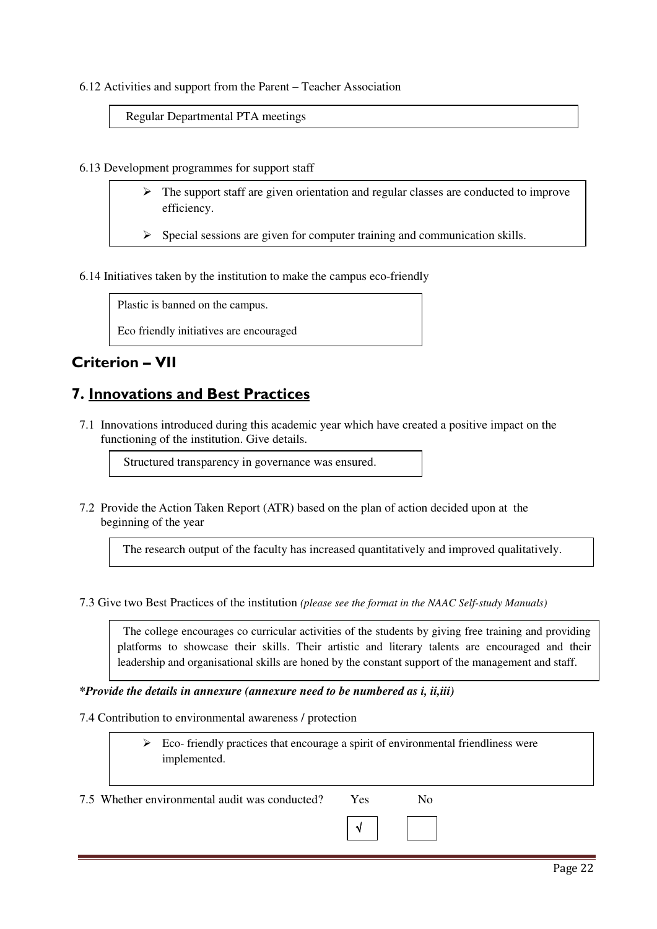#### 6.12 Activities and support from the Parent – Teacher Association

Regular Departmental PTA meetings

6.13 Development programmes for support staff

- > The support staff are given orientation and regular classes are conducted to improve efficiency.
- Special sessions are given for computer training and communication skills.

6.14 Initiatives taken by the institution to make the campus eco-friendly

Plastic is banned on the campus.

Eco friendly initiatives are encouraged

### **Criterion – VII**

### **7. Innovations and Best Practices**

7.1 Innovations introduced during this academic year which have created a positive impact on the functioning of the institution. Give details.

Structured transparency in governance was ensured.

7.2 Provide the Action Taken Report (ATR) based on the plan of action decided upon at the beginning of the year

The research output of the faculty has increased quantitatively and improved qualitatively.

7.3 Give two Best Practices of the institution *(please see the format in the NAAC Self-study Manuals)*

 The college encourages co curricular activities of the students by giving free training and providing platforms to showcase their skills. Their artistic and literary talents are encouraged and their leadership and organisational skills are honed by the constant support of the management and staff.

*\*Provide the details in annexure (annexure need to be numbered as i, ii,iii)* 

7.4 Contribution to environmental awareness / protection

> Eco- friendly practices that encourage a spirit of environmental friendliness were implemented.

7.5 Whether environmental audit was conducted? Yes No

√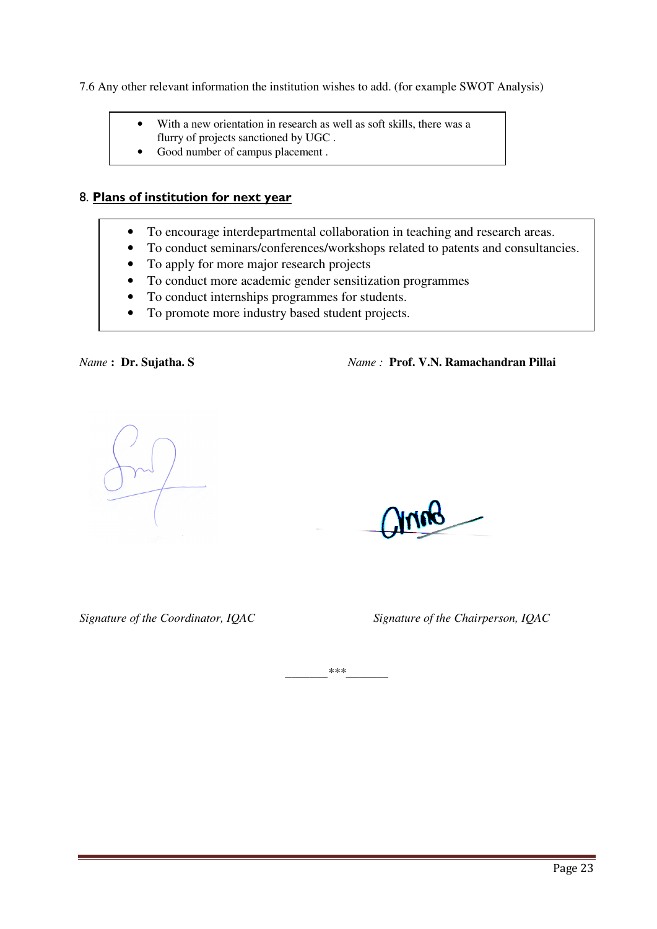7.6 Any other relevant information the institution wishes to add. (for example SWOT Analysis)

- With a new orientation in research as well as soft skills, there was a flurry of projects sanctioned by UGC .
- Good number of campus placement.

### 8. **Plans of institution for next year**

- To encourage interdepartmental collaboration in teaching and research areas.
- To conduct seminars/conferences/workshops related to patents and consultancies.
- To apply for more major research projects
- To conduct more academic gender sensitization programmes
- To conduct internships programmes for students.
- To promote more industry based student projects.

*Name* **: Dr. Sujatha. S** *Name :* **Prof. V.N. Ramachandran Pillai**

*Signature of the Coordinator, IQAC Signature of the Chairperson, IQAC* 

*\_\_\_\_\_\_\_\*\*\*\_\_\_\_\_\_\_*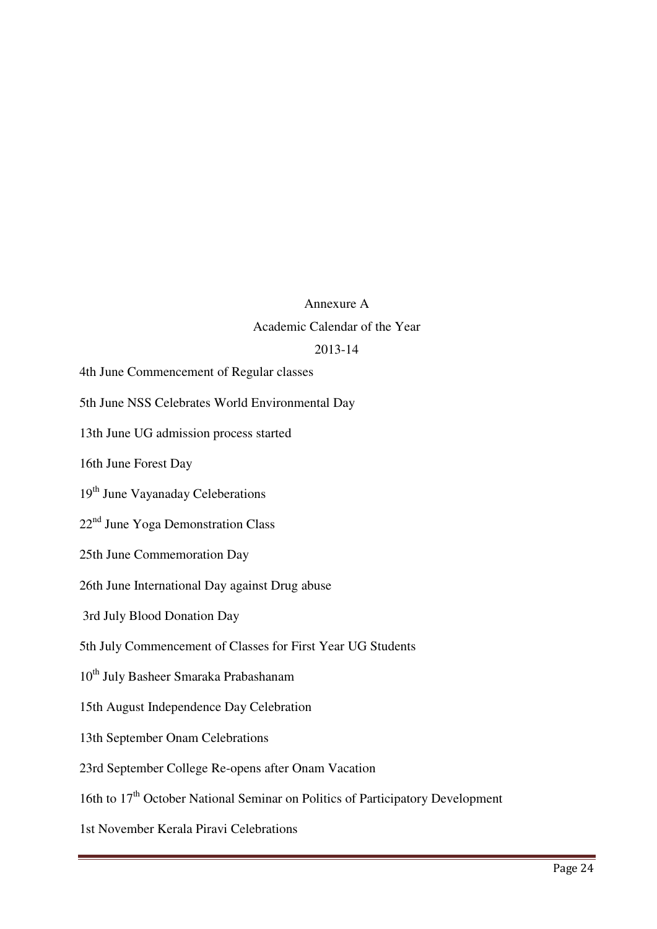### Annexure A

### Academic Calendar of the Year

### 2013-14

4th June Commencement of Regular classes

5th June NSS Celebrates World Environmental Day

13th June UG admission process started

16th June Forest Day

19<sup>th</sup> June Vayanaday Celeberations

22nd June Yoga Demonstration Class

25th June Commemoration Day

26th June International Day against Drug abuse

3rd July Blood Donation Day

5th July Commencement of Classes for First Year UG Students

10<sup>th</sup> July Basheer Smaraka Prabashanam

15th August Independence Day Celebration

13th September Onam Celebrations

23rd September College Re-opens after Onam Vacation

16th to  $17<sup>th</sup>$  October National Seminar on Politics of Participatory Development

1st November Kerala Piravi Celebrations